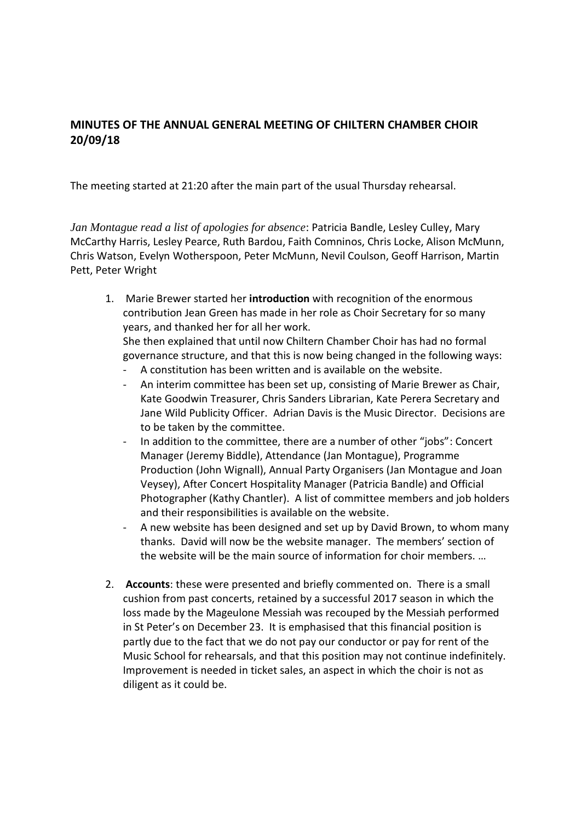## **MINUTES OF THE ANNUAL GENERAL MEETING OF CHILTERN CHAMBER CHOIR 20/09/18**

The meeting started at 21:20 after the main part of the usual Thursday rehearsal.

*Jan Montague read a list of apologies for absence*: Patricia Bandle, Lesley Culley, Mary McCarthy Harris, Lesley Pearce, Ruth Bardou, Faith Comninos, Chris Locke, Alison McMunn, Chris Watson, Evelyn Wotherspoon, Peter McMunn, Nevil Coulson, Geoff Harrison, Martin Pett, Peter Wright

- 1. Marie Brewer started her **introduction** with recognition of the enormous contribution Jean Green has made in her role as Choir Secretary for so many years, and thanked her for all her work. She then explained that until now Chiltern Chamber Choir has had no formal
	- governance structure, and that this is now being changed in the following ways:
	- A constitution has been written and is available on the website.
	- An interim committee has been set up, consisting of Marie Brewer as Chair, Kate Goodwin Treasurer, Chris Sanders Librarian, Kate Perera Secretary and Jane Wild Publicity Officer. Adrian Davis is the Music Director. Decisions are to be taken by the committee.
	- In addition to the committee, there are a number of other "jobs": Concert Manager (Jeremy Biddle), Attendance (Jan Montague), Programme Production (John Wignall), Annual Party Organisers (Jan Montague and Joan Veysey), After Concert Hospitality Manager (Patricia Bandle) and Official Photographer (Kathy Chantler). A list of committee members and job holders and their responsibilities is available on the website.
	- A new website has been designed and set up by David Brown, to whom many thanks. David will now be the website manager. The members' section of the website will be the main source of information for choir members. …
- 2. **Accounts**: these were presented and briefly commented on. There is a small cushion from past concerts, retained by a successful 2017 season in which the loss made by the Mageulone Messiah was recouped by the Messiah performed in St Peter's on December 23. It is emphasised that this financial position is partly due to the fact that we do not pay our conductor or pay for rent of the Music School for rehearsals, and that this position may not continue indefinitely. Improvement is needed in ticket sales, an aspect in which the choir is not as diligent as it could be.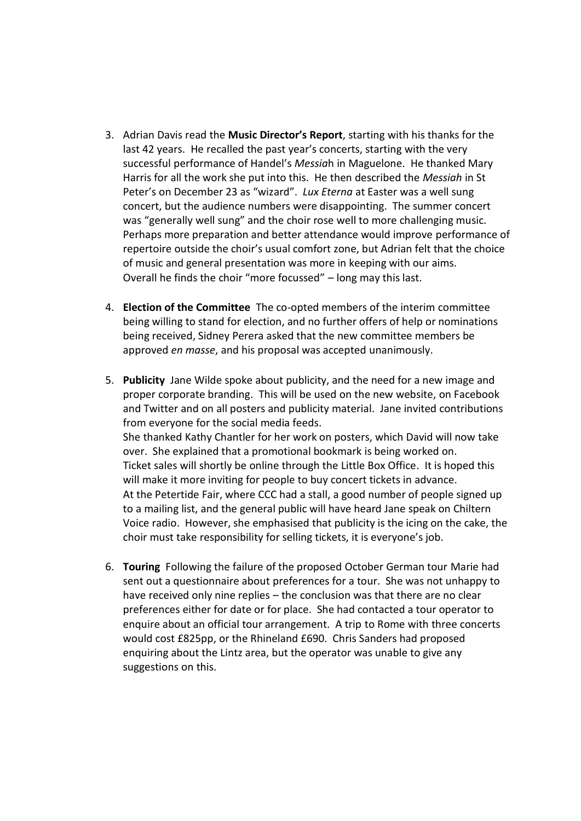- 3. Adrian Davis read the **Music Director's Report**, starting with his thanks for the last 42 years. He recalled the past year's concerts, starting with the very successful performance of Handel's *Messia*h in Maguelone. He thanked Mary Harris for all the work she put into this. He then described the *Messiah* in St Peter's on December 23 as "wizard". *Lux Eterna* at Easter was a well sung concert, but the audience numbers were disappointing. The summer concert was "generally well sung" and the choir rose well to more challenging music. Perhaps more preparation and better attendance would improve performance of repertoire outside the choir's usual comfort zone, but Adrian felt that the choice of music and general presentation was more in keeping with our aims. Overall he finds the choir "more focussed" – long may this last.
- 4. **Election of the Committee** The co-opted members of the interim committee being willing to stand for election, and no further offers of help or nominations being received, Sidney Perera asked that the new committee members be approved *en masse*, and his proposal was accepted unanimously.
- 5. **Publicity** Jane Wilde spoke about publicity, and the need for a new image and proper corporate branding. This will be used on the new website, on Facebook and Twitter and on all posters and publicity material. Jane invited contributions from everyone for the social media feeds. She thanked Kathy Chantler for her work on posters, which David will now take over. She explained that a promotional bookmark is being worked on. Ticket sales will shortly be online through the Little Box Office. It is hoped this will make it more inviting for people to buy concert tickets in advance. At the Petertide Fair, where CCC had a stall, a good number of people signed up to a mailing list, and the general public will have heard Jane speak on Chiltern Voice radio. However, she emphasised that publicity is the icing on the cake, the choir must take responsibility for selling tickets, it is everyone's job.
- 6. **Touring** Following the failure of the proposed October German tour Marie had sent out a questionnaire about preferences for a tour. She was not unhappy to have received only nine replies – the conclusion was that there are no clear preferences either for date or for place. She had contacted a tour operator to enquire about an official tour arrangement. A trip to Rome with three concerts would cost £825pp, or the Rhineland £690. Chris Sanders had proposed enquiring about the Lintz area, but the operator was unable to give any suggestions on this.